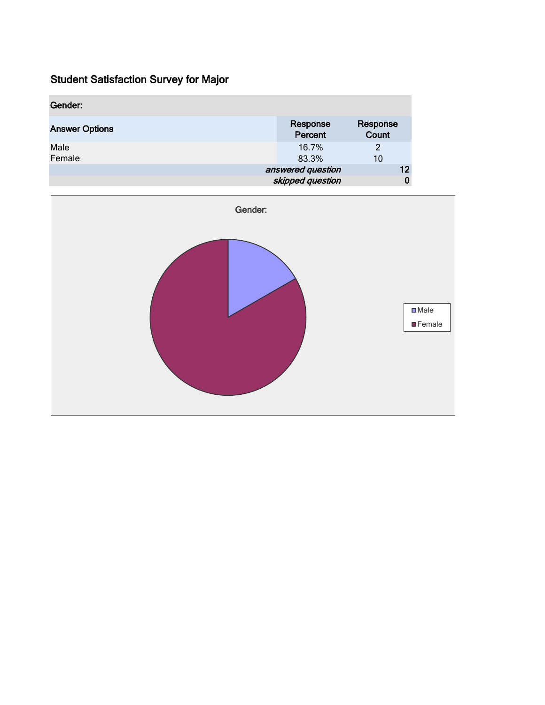| Gender:               |                                          |         |
|-----------------------|------------------------------------------|---------|
| <b>Answer Options</b> | Response<br>Response<br>Count<br>Percent |         |
| Male<br>Female        | 16.7%<br>2<br>83.3%<br>10                |         |
|                       | answered question<br>skipped question    | 12<br>0 |

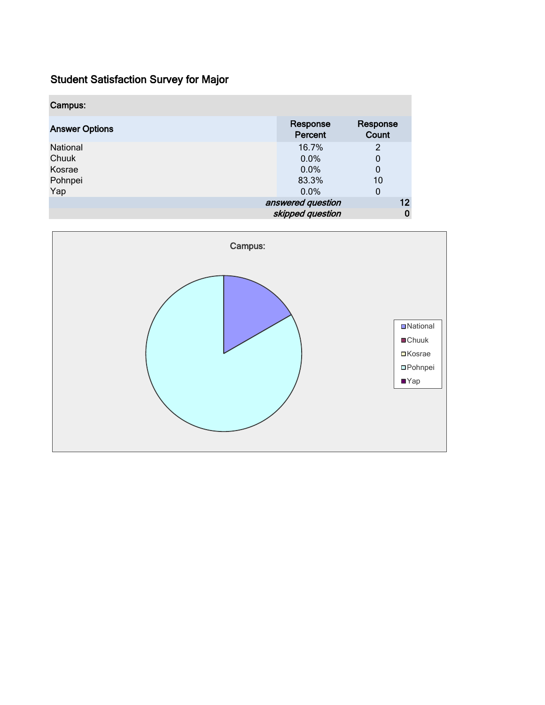| Campus:               |                     |                   |    |
|-----------------------|---------------------|-------------------|----|
| <b>Answer Options</b> | Response<br>Percent | Response<br>Count |    |
| National              | 16.7%               | $\overline{2}$    |    |
| Chuuk                 | $0.0\%$             | 0                 |    |
| Kosrae                | 0.0%                | 0                 |    |
| Pohnpei               | 83.3%               | 10                |    |
| Yap                   | $0.0\%$             | 0                 |    |
|                       | answered question   |                   | 12 |
|                       | skipped question    |                   | 0  |

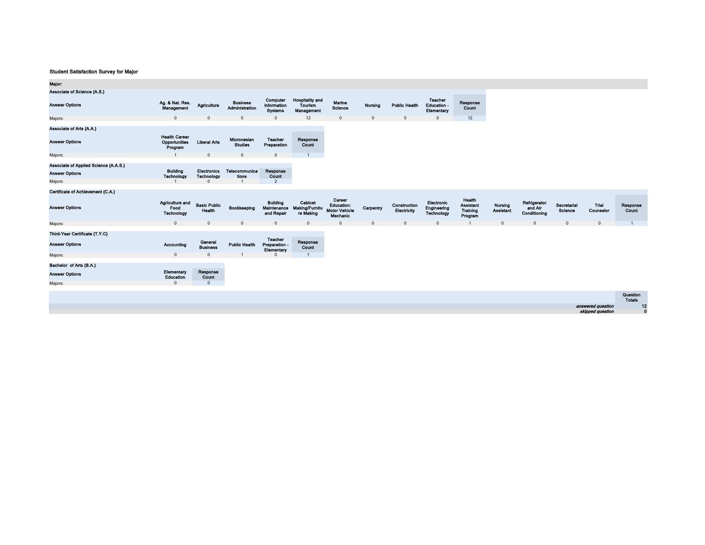| Major:                                                                    |                                                  |                                              |                                        |                                               |                                                 |                                                          |              |                             |                                             |                                                   |                      |                                         |                        |                                       |                           |
|---------------------------------------------------------------------------|--------------------------------------------------|----------------------------------------------|----------------------------------------|-----------------------------------------------|-------------------------------------------------|----------------------------------------------------------|--------------|-----------------------------|---------------------------------------------|---------------------------------------------------|----------------------|-----------------------------------------|------------------------|---------------------------------------|---------------------------|
| Associate of Science (A.S.)                                               |                                                  |                                              |                                        |                                               |                                                 |                                                          |              |                             |                                             |                                                   |                      |                                         |                        |                                       |                           |
| <b>Answer Options</b>                                                     | Ag. & Nat. Res.<br>Management                    | Agriculture                                  | <b>Business</b><br>Administration      | Computer<br>Information<br><b>Systems</b>     | <b>Hospitality and</b><br>Tourism<br>Management | Marine<br><b>Science</b>                                 | Nursing      | <b>Public Health</b>        | <b>Teacher</b><br>Education -<br>Elementary | Response<br><b>Count</b>                          |                      |                                         |                        |                                       |                           |
| Majors:                                                                   | $\mathsf 0$                                      | $\Omega$                                     | $\mathbf{0}$                           | $\mathbf 0$                                   | 12                                              | $\overline{0}$                                           | $\mathbf 0$  | $\mathbf{0}$                | $\Omega$                                    | 12                                                |                      |                                         |                        |                                       |                           |
| Associate of Arts (A.A.)                                                  |                                                  |                                              |                                        |                                               |                                                 |                                                          |              |                             |                                             |                                                   |                      |                                         |                        |                                       |                           |
| <b>Answer Options</b>                                                     | <b>Health Career</b><br>Opportunities<br>Program | <b>Liberal Arts</b>                          | Micronesian<br><b>Studies</b>          | Teacher<br>Preparation                        | Response<br>Count                               |                                                          |              |                             |                                             |                                                   |                      |                                         |                        |                                       |                           |
| Majors:                                                                   | $\overline{1}$                                   | $\mathbf{0}$                                 | $\mathbf{0}$                           | $\mathbb O$                                   | $\mathbf{1}$                                    |                                                          |              |                             |                                             |                                                   |                      |                                         |                        |                                       |                           |
| Associate of Applied Science (A.A.S.)<br><b>Answer Options</b><br>Majors: | <b>Building</b><br>Technology                    | <b>Electronics</b><br>Technology<br>$\Omega$ | Telecommunica<br>tions<br>$\mathbf{1}$ | Response<br>Count<br>$\overline{2}$           |                                                 |                                                          |              |                             |                                             |                                                   |                      |                                         |                        |                                       |                           |
| Certificate of Achievement (C.A.)                                         |                                                  |                                              |                                        |                                               |                                                 |                                                          |              |                             |                                             |                                                   |                      |                                         |                        |                                       |                           |
| <b>Answer Options</b>                                                     | Agriculture and<br>Food<br><b>Technology</b>     | <b>Basic Public</b><br>Health                | Bookkeeping                            | <b>Building</b><br>Maintenance<br>and Repair  | Cabinet<br><b>Making/Furnitu</b><br>re Making   | Career<br>Education:<br><b>Motor Vehicle</b><br>Mechanic | Carpentry    | Construction<br>Electricity | Electronic<br>Engineering<br>Technology     | Health<br><b>Assistant</b><br>Training<br>Program | Nursing<br>Assistant | Refrigerator<br>and Air<br>Conditioning | Secretarial<br>Science | Trial<br>Counselor                    | Response<br>Count         |
| Majors:                                                                   | $\mathbf{0}$                                     | $\mathbf{0}$                                 | $\mathbf 0$                            | $\mathbb O$                                   | $\mathbf 0$                                     | $\mathbf 0$                                              | $\mathbf{0}$ | $\mathbf{0}$                | $\Omega$                                    |                                                   | $\Omega$             | $\Omega$                                | $\Omega$               | $\mathbf{0}$                          | $\overline{1}$            |
| Third-Year Certificate (T.Y.C)                                            |                                                  |                                              |                                        |                                               |                                                 |                                                          |              |                             |                                             |                                                   |                      |                                         |                        |                                       |                           |
| <b>Answer Options</b>                                                     | Accounting                                       | General<br><b>Business</b>                   | <b>Public Health</b>                   | <b>Teacher</b><br>Preparation -<br>Elementary | Response<br>Count                               |                                                          |              |                             |                                             |                                                   |                      |                                         |                        |                                       |                           |
| Majors:                                                                   | $\mathbf 0$                                      | $\Omega$                                     |                                        | $\Omega$                                      |                                                 |                                                          |              |                             |                                             |                                                   |                      |                                         |                        |                                       |                           |
| Bachelor of Arts (B.A.)                                                   |                                                  |                                              |                                        |                                               |                                                 |                                                          |              |                             |                                             |                                                   |                      |                                         |                        |                                       |                           |
| <b>Answer Options</b>                                                     | Elementary<br>Education                          | Response<br>Count                            |                                        |                                               |                                                 |                                                          |              |                             |                                             |                                                   |                      |                                         |                        |                                       |                           |
| Majors:                                                                   | $\mathbf{0}$                                     | $\mathbf{0}$                                 |                                        |                                               |                                                 |                                                          |              |                             |                                             |                                                   |                      |                                         |                        |                                       |                           |
|                                                                           |                                                  |                                              |                                        |                                               |                                                 |                                                          |              |                             |                                             |                                                   |                      |                                         |                        |                                       | Question<br><b>Totals</b> |
|                                                                           |                                                  |                                              |                                        |                                               |                                                 |                                                          |              |                             |                                             |                                                   |                      |                                         |                        | answered question<br>skipped question | 12<br>$\mathbf 0$         |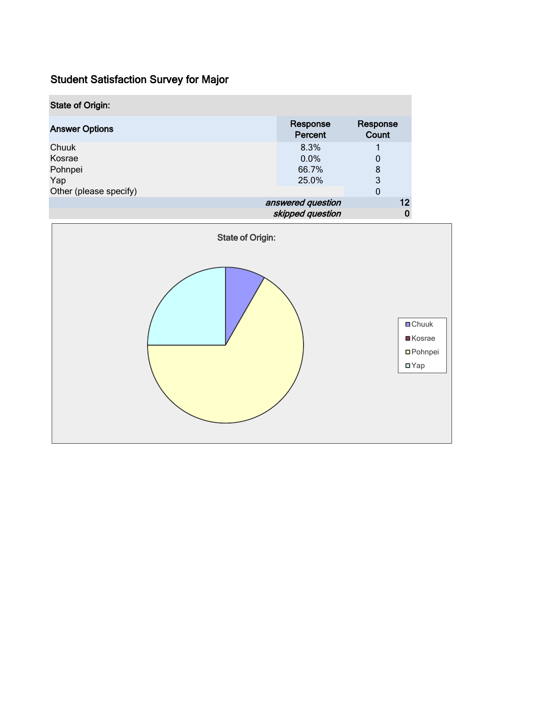| <b>State of Origin:</b> |                     |                   |
|-------------------------|---------------------|-------------------|
| <b>Answer Options</b>   | Response<br>Percent | Response<br>Count |
| Chuuk                   | 8.3%                |                   |
| Kosrae                  | $0.0\%$             | 0                 |
| Pohnpei                 | 66.7%               | 8                 |
| Yap                     | 25.0%               | 3                 |
| Other (please specify)  |                     | $\mathbf 0$       |
|                         | answered question   | 12                |
|                         | skipped question    | Ü                 |